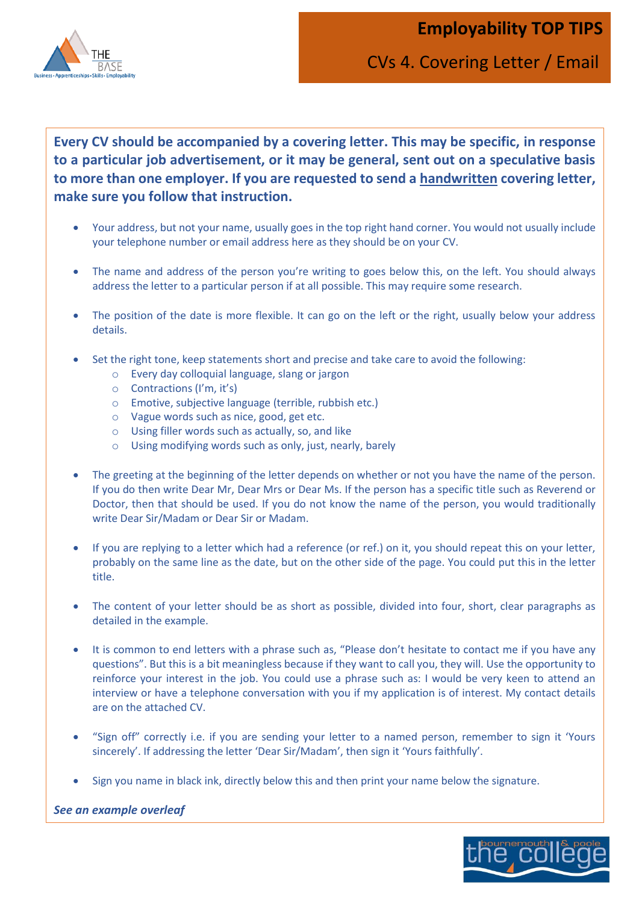**Employability TOP TIPS**



CVs 4. Covering Letter / Email

**Every CV should be accompanied by a covering letter. This may be specific, in response to a particular job advertisement, or it may be general, sent out on a speculative basis to more than one employer. If you are requested to send a handwritten covering letter, make sure you follow that instruction.**

- Your address, but not your name, usually goes in the top right hand corner. You would not usually include your telephone number or email address here as they should be on your CV.
- The name and address of the person you're writing to goes below this, on the left. You should always address the letter to a particular person if at all possible. This may require some research.
- How can be interested in the interest of the content of the interest of the content of the content of the content of the content of the content of the content of the content of the content of the content of the content of The position of the date is more flexible. It can go on the left or the right, usually below your address details.
- Set the right tone, keep statements short and precise and take care to avoid the following:
	- o Every day colloquial language, slang or jargon
	- o Contractions (I'm, it's)
	- o Emotive, subjective language (terrible, rubbish etc.)
	- o Vague words such as nice, good, get etc.
	- o Using filler words such as actually, so, and like
	- o Using modifying words such as only, just, nearly, barely
- The greeting at the beginning of the letter depends on whether or not you have the name of the person. If you do then write Dear Mr, Dear Mrs or Dear Ms. If the person has a specific title such as Reverend or Doctor, then that should be used. If you do not know the name of the person, you would traditionally write Dear Sir/Madam or Dear Sir or Madam.
- If you are replying to a letter which had a reference (or ref.) on it, you should repeat this on your letter, probably on the same line as the date, but on the other side of the page. You could put this in the letter title.
- The content of your letter should be as short as possible, divided into four, short, clear paragraphs as detailed in the example.
- It is common to end letters with a phrase such as, "Please don't hesitate to contact me if you have any questions". But this is a bit meaningless because if they want to call you, they will. Use the opportunity to reinforce your interest in the job. You could use a phrase such as: I would be very keen to attend an interview or have a telephone conversation with you if my application is of interest. My contact details are on the attached CV.
- "Sign off" correctly i.e. if you are sending your letter to a named person, remember to sign it 'Yours sincerely'. If addressing the letter 'Dear Sir/Madam', then sign it 'Yours faithfully'.
- Sign you name in black ink, directly below this and then print your name below the signature.

## *See an example overleaf*